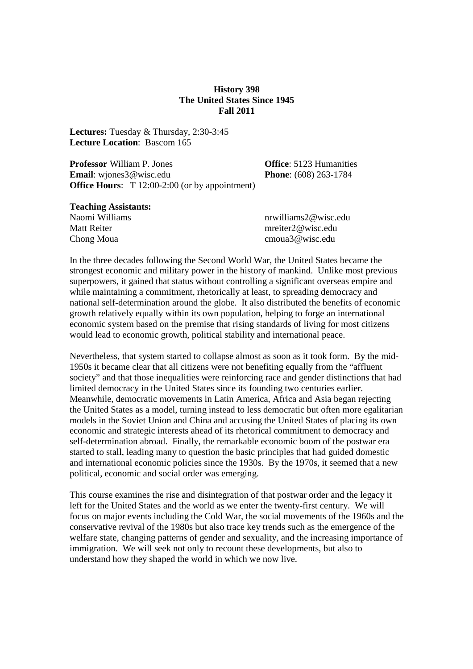#### **History 398 The United States Since 1945 Fall 2011**

**Lectures:** Tuesday & Thursday, 2:30-3:45 **Lecture Location**: Bascom 165

**Professor** William P. Jones **Office**: 5123 Humanities **Email**: wiones3@wisc.edu **Phone**: (608) 263-1784 **Office Hours:** T 12:00-2:00 (or by appointment)

#### **Teaching Assistants:**

| Naomi Williams | nrwilliams2@wisc.edu  |
|----------------|-----------------------|
| Matt Reiter    | mreiter $2@$ wisc.edu |
| Chong Moua     | cmoua3@wisc.edu       |

In the three decades following the Second World War, the United States became the strongest economic and military power in the history of mankind. Unlike most previous superpowers, it gained that status without controlling a significant overseas empire and while maintaining a commitment, rhetorically at least, to spreading democracy and national self-determination around the globe. It also distributed the benefits of economic growth relatively equally within its own population, helping to forge an international economic system based on the premise that rising standards of living for most citizens would lead to economic growth, political stability and international peace.

Nevertheless, that system started to collapse almost as soon as it took form. By the mid-1950s it became clear that all citizens were not benefiting equally from the "affluent society" and that those inequalities were reinforcing race and gender distinctions that had limited democracy in the United States since its founding two centuries earlier. Meanwhile, democratic movements in Latin America, Africa and Asia began rejecting the United States as a model, turning instead to less democratic but often more egalitarian models in the Soviet Union and China and accusing the United States of placing its own economic and strategic interests ahead of its rhetorical commitment to democracy and self-determination abroad. Finally, the remarkable economic boom of the postwar era started to stall, leading many to question the basic principles that had guided domestic and international economic policies since the 1930s. By the 1970s, it seemed that a new political, economic and social order was emerging.

This course examines the rise and disintegration of that postwar order and the legacy it left for the United States and the world as we enter the twenty-first century. We will focus on major events including the Cold War, the social movements of the 1960s and the conservative revival of the 1980s but also trace key trends such as the emergence of the welfare state, changing patterns of gender and sexuality, and the increasing importance of immigration. We will seek not only to recount these developments, but also to understand how they shaped the world in which we now live.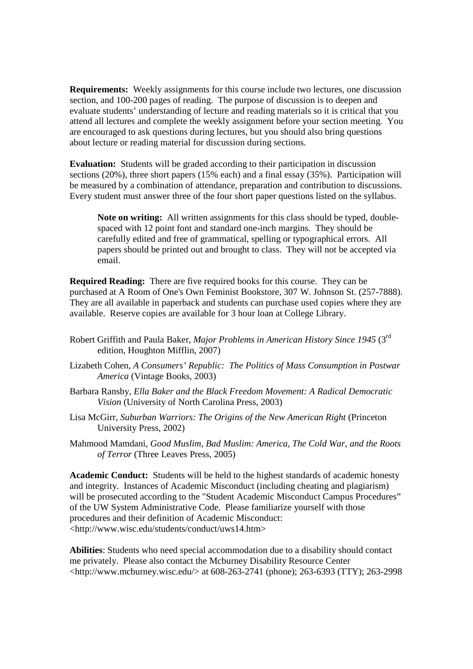**Requirements:** Weekly assignments for this course include two lectures, one discussion section, and 100-200 pages of reading. The purpose of discussion is to deepen and evaluate students' understanding of lecture and reading materials so it is critical that you attend all lectures and complete the weekly assignment before your section meeting. You are encouraged to ask questions during lectures, but you should also bring questions about lecture or reading material for discussion during sections.

**Evaluation:** Students will be graded according to their participation in discussion sections (20%), three short papers (15% each) and a final essay (35%). Participation will be measured by a combination of attendance, preparation and contribution to discussions. Every student must answer three of the four short paper questions listed on the syllabus.

**Note on writing:** All written assignments for this class should be typed, doublespaced with 12 point font and standard one-inch margins. They should be carefully edited and free of grammatical, spelling or typographical errors. All papers should be printed out and brought to class. They will not be accepted via email.

**Required Reading:** There are five required books for this course. They can be purchased at A Room of One's Own Feminist Bookstore, 307 W. Johnson St. (257-7888). They are all available in paperback and students can purchase used copies where they are available. Reserve copies are available for 3 hour loan at College Library.

- Robert Griffith and Paula Baker, *Major Problems in American History Since 1945* (3rd edition, Houghton Mifflin, 2007)
- Lizabeth Cohen, *A Consumers' Republic: The Politics of Mass Consumption in Postwar America* (Vintage Books, 2003)
- Barbara Ransby, *Ella Baker and the Black Freedom Movement: A Radical Democratic Vision* (University of North Carolina Press, 2003)
- Lisa McGirr, *Suburban Warriors: The Origins of the New American Right* (Princeton University Press, 2002)
- Mahmood Mamdani, *Good Muslim, Bad Muslim: America, The Cold War, and the Roots of Terror* (Three Leaves Press, 2005)

**Academic Conduct:** Students will be held to the highest standards of academic honesty and integrity. Instances of Academic Misconduct (including cheating and plagiarism) will be prosecuted according to the "Student Academic Misconduct Campus Procedures" of the UW System Administrative Code. Please familiarize yourself with those procedures and their definition of Academic Misconduct: <http://www.wisc.edu/students/conduct/uws14.htm>

**Abilities**: Students who need special accommodation due to a disability should contact me privately. Please also contact the Mcburney Disability Resource Center <http://www.mcburney.wisc.edu/> at 608-263-2741 (phone); 263-6393 (TTY); 263-2998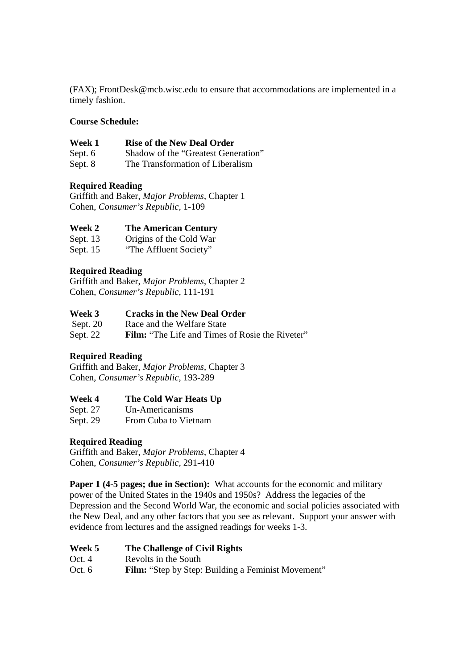(FAX); FrontDesk@mcb.wisc.edu to ensure that accommodations are implemented in a timely fashion.

### **Course Schedule:**

#### **Week 1 Rise of the New Deal Order**

Sept. 6 Shadow of the "Greatest Generation"

Sept. 8 The Transformation of Liberalism

# **Required Reading**

Griffith and Baker, *Major Problems*, Chapter 1 Cohen, *Consumer's Republic,* 1-109

#### **Week 2 The American Century**

Sept. 13 Origins of the Cold War

Sept. 15 "The Affluent Society"

# **Required Reading**

Griffith and Baker, *Major Problems*, Chapter 2 Cohen, *Consumer's Republic,* 111-191

# **Week 3** Cracks in the New Deal Order<br>Sept. 20 Race and the Welfare State

Race and the Welfare State

Sept. 22 **Film:** "The Life and Times of Rosie the Riveter"

#### **Required Reading**

Griffith and Baker, *Major Problems*, Chapter 3 Cohen, *Consumer's Republic,* 193-289

#### **Week 4 The Cold War Heats Up**

Sept. 27 Un-Americanisms Sept. 29 From Cuba to Vietnam

#### **Required Reading**

Griffith and Baker, *Major Problems*, Chapter 4 Cohen, *Consumer's Republic,* 291-410

**Paper 1 (4-5 pages; due in Section):** What accounts for the economic and military power of the United States in the 1940s and 1950s? Address the legacies of the Depression and the Second World War, the economic and social policies associated with the New Deal, and any other factors that you see as relevant. Support your answer with evidence from lectures and the assigned readings for weeks 1-3.

| Week 5 | The Challenge of Civil Rights |
|--------|-------------------------------|
|--------|-------------------------------|

Oct. 4 Revolts in the South

Oct. 6 **Film:** "Step by Step: Building a Feminist Movement"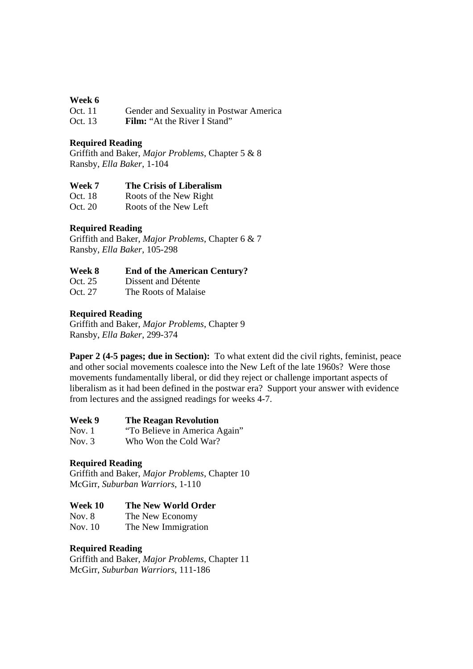#### **Week 6**

| Oct. 11   | Gender and Sexuality in Postwar America                    |
|-----------|------------------------------------------------------------|
| $\sim$ 10 | $\mathbf{E}^{(1)}$ $(1, 1, 1)$ $\mathbf{E}^{(2)}$ $(1, 1)$ |

Oct. 13 **Film:** "At the River I Stand"

#### **Required Reading**

Griffith and Baker, *Major Problems*, Chapter 5 & 8 Ransby, *Ella Baker*, 1-104

#### **Week 7 The Crisis of Liberalism**

| Oct. 18 | Roots of the New Right |
|---------|------------------------|
| Oct. 20 | Roots of the New Left  |

# **Required Reading**

Griffith and Baker, *Major Problems*, Chapter 6 & 7 Ransby, *Ella Baker*, 105-298

#### **Week 8 End of the American Century?**

Oct. 25 Dissent and Détente

Oct. 27 The Roots of Malaise

#### **Required Reading**

Griffith and Baker, *Major Problems*, Chapter 9 Ransby, *Ella Baker*, 299-374

**Paper 2 (4-5 pages; due in Section):** To what extent did the civil rights, feminist, peace and other social movements coalesce into the New Left of the late 1960s? Were those movements fundamentally liberal, or did they reject or challenge important aspects of liberalism as it had been defined in the postwar era? Support your answer with evidence from lectures and the assigned readings for weeks 4-7.

| Nov. 1 | "To Believe in America Again" |
|--------|-------------------------------|

Nov. 3 Who Won the Cold War?

#### **Required Reading**

Griffith and Baker, *Major Problems*, Chapter 10 McGirr, *Suburban Warriors*, 1-110

#### **Week 10 The New World Order**

Nov. 8 The New Economy

Nov. 10 The New Immigration

#### **Required Reading**

Griffith and Baker, *Major Problems*, Chapter 11 McGirr, *Suburban Warriors*, 111-186